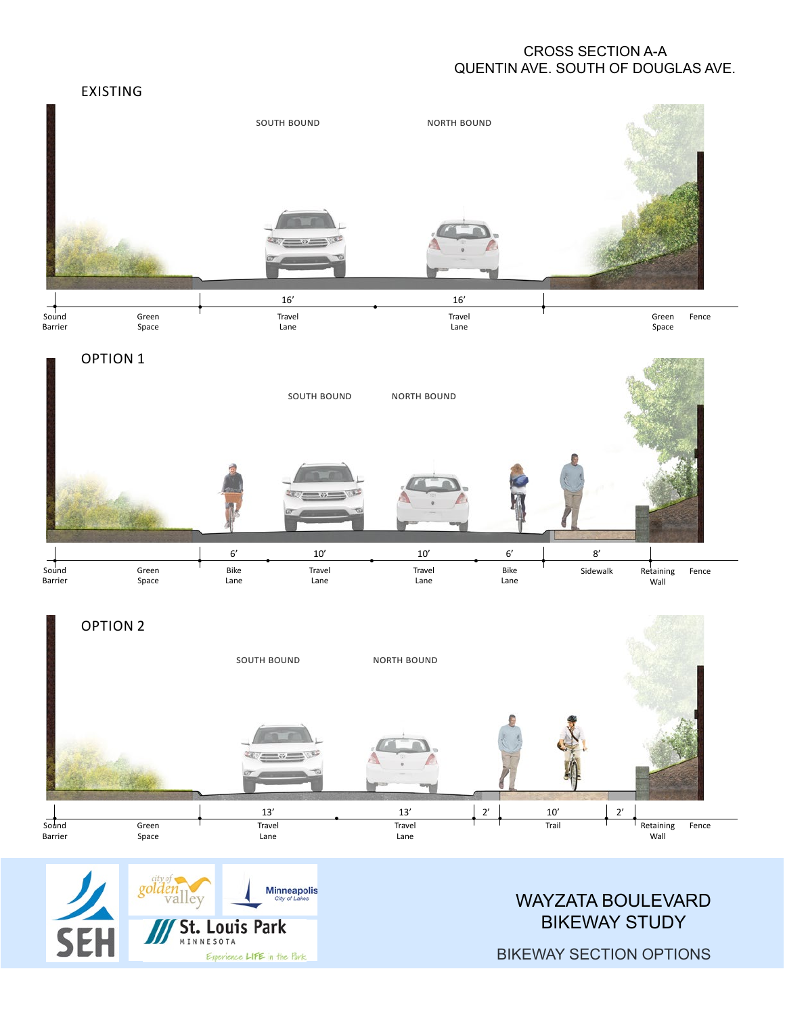## CROSS SECTION A-A QUENTIN AVE. SOUTH OF DOUGLAS AVE.



Esperience LIFE in the Park.

BIKEWAY SECTION OPTIONS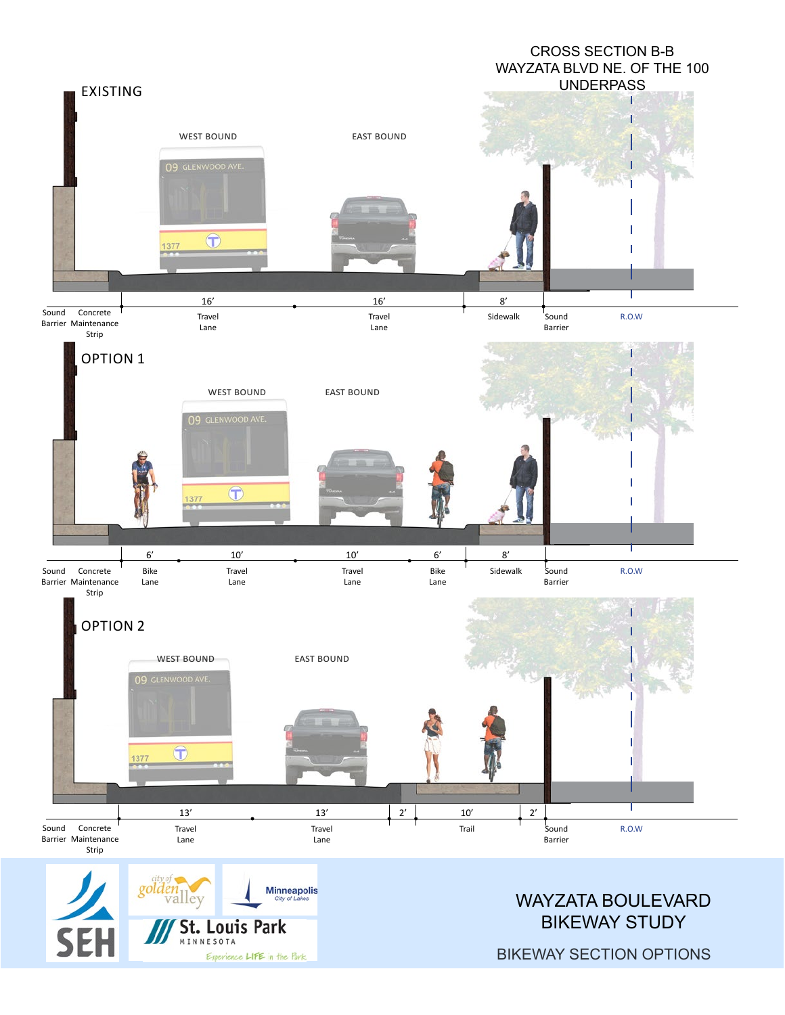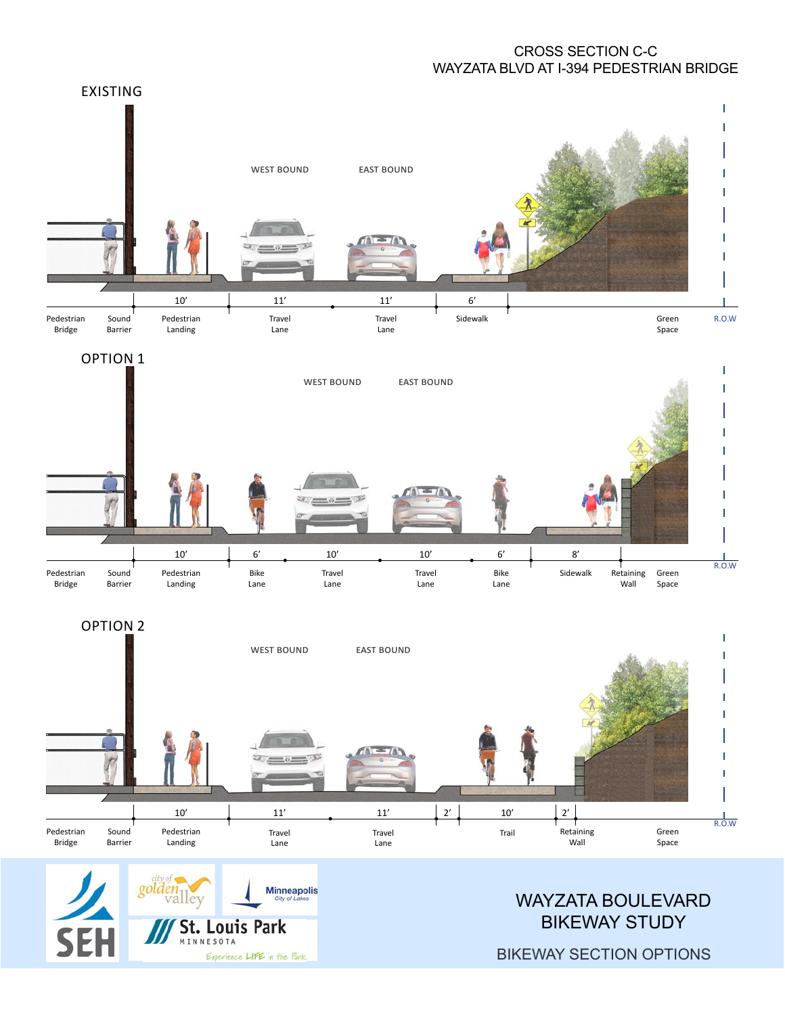## CROSS SECTION C-C WAYZATA BLVD AT I-394 PEDESTRIAN BRIDGE





**St. Louis Park** 

Esperience LIFE in the Park

INNESOTA

SEI

BIKEWAY STUDY

BIKEWAY SECTION OPTIONS